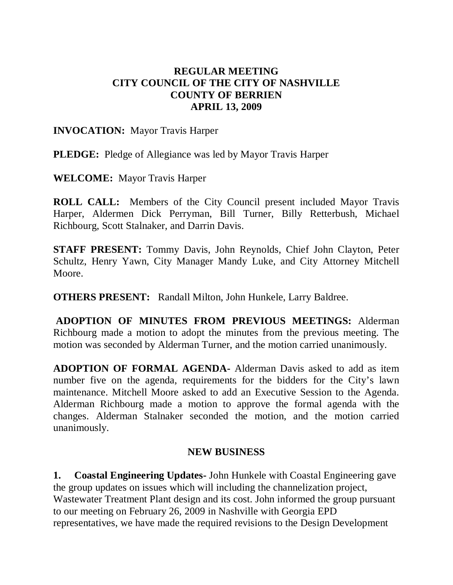## **REGULAR MEETING CITY COUNCIL OF THE CITY OF NASHVILLE COUNTY OF BERRIEN APRIL 13, 2009**

#### **INVOCATION:** Mayor Travis Harper

**PLEDGE:** Pledge of Allegiance was led by Mayor Travis Harper

**WELCOME:** Mayor Travis Harper

**ROLL CALL:** Members of the City Council present included Mayor Travis Harper, Aldermen Dick Perryman, Bill Turner, Billy Retterbush, Michael Richbourg, Scott Stalnaker, and Darrin Davis.

**STAFF PRESENT:** Tommy Davis, John Reynolds, Chief John Clayton, Peter Schultz, Henry Yawn, City Manager Mandy Luke, and City Attorney Mitchell Moore.

**OTHERS PRESENT:** Randall Milton, John Hunkele, Larry Baldree.

**ADOPTION OF MINUTES FROM PREVIOUS MEETINGS:** Alderman Richbourg made a motion to adopt the minutes from the previous meeting. The motion was seconded by Alderman Turner, and the motion carried unanimously.

**ADOPTION OF FORMAL AGENDA-** Alderman Davis asked to add as item number five on the agenda, requirements for the bidders for the City's lawn maintenance. Mitchell Moore asked to add an Executive Session to the Agenda. Alderman Richbourg made a motion to approve the formal agenda with the changes. Alderman Stalnaker seconded the motion, and the motion carried unanimously.

### **NEW BUSINESS**

**1. Coastal Engineering Updates-** John Hunkele with Coastal Engineering gave the group updates on issues which will including the channelization project, Wastewater Treatment Plant design and its cost. John informed the group pursuant to our meeting on February 26, 2009 in Nashville with Georgia EPD representatives, we have made the required revisions to the Design Development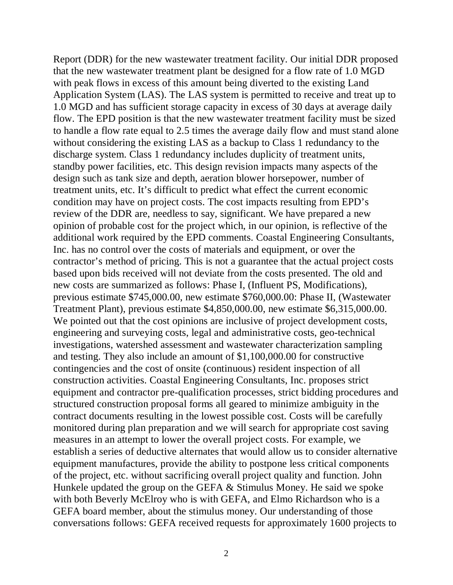Report (DDR) for the new wastewater treatment facility. Our initial DDR proposed that the new wastewater treatment plant be designed for a flow rate of 1.0 MGD with peak flows in excess of this amount being diverted to the existing Land Application System (LAS). The LAS system is permitted to receive and treat up to 1.0 MGD and has sufficient storage capacity in excess of 30 days at average daily flow. The EPD position is that the new wastewater treatment facility must be sized to handle a flow rate equal to 2.5 times the average daily flow and must stand alone without considering the existing LAS as a backup to Class 1 redundancy to the discharge system. Class 1 redundancy includes duplicity of treatment units, standby power facilities, etc. This design revision impacts many aspects of the design such as tank size and depth, aeration blower horsepower, number of treatment units, etc. It's difficult to predict what effect the current economic condition may have on project costs. The cost impacts resulting from EPD's review of the DDR are, needless to say, significant. We have prepared a new opinion of probable cost for the project which, in our opinion, is reflective of the additional work required by the EPD comments. Coastal Engineering Consultants, Inc. has no control over the costs of materials and equipment, or over the contractor's method of pricing. This is not a guarantee that the actual project costs based upon bids received will not deviate from the costs presented. The old and new costs are summarized as follows: Phase I, (Influent PS, Modifications), previous estimate \$745,000.00, new estimate \$760,000.00: Phase II, (Wastewater Treatment Plant), previous estimate \$4,850,000.00, new estimate \$6,315,000.00. We pointed out that the cost opinions are inclusive of project development costs, engineering and surveying costs, legal and administrative costs, geo-technical investigations, watershed assessment and wastewater characterization sampling and testing. They also include an amount of \$1,100,000.00 for constructive contingencies and the cost of onsite (continuous) resident inspection of all construction activities. Coastal Engineering Consultants, Inc. proposes strict equipment and contractor pre-qualification processes, strict bidding procedures and structured construction proposal forms all geared to minimize ambiguity in the contract documents resulting in the lowest possible cost. Costs will be carefully monitored during plan preparation and we will search for appropriate cost saving measures in an attempt to lower the overall project costs. For example, we establish a series of deductive alternates that would allow us to consider alternative equipment manufactures, provide the ability to postpone less critical components of the project, etc. without sacrificing overall project quality and function. John Hunkele updated the group on the GEFA & Stimulus Money. He said we spoke with both Beverly McElroy who is with GEFA, and Elmo Richardson who is a GEFA board member, about the stimulus money. Our understanding of those conversations follows: GEFA received requests for approximately 1600 projects to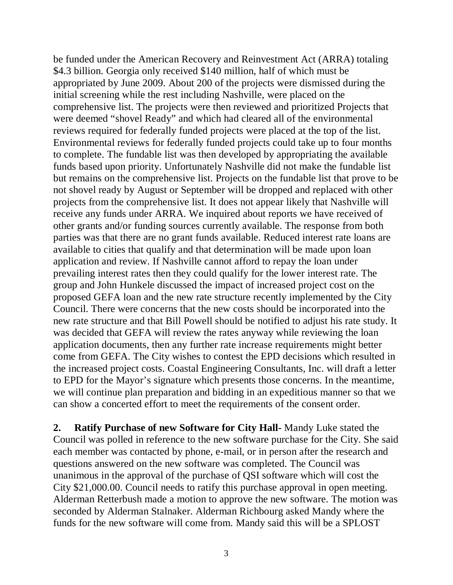be funded under the American Recovery and Reinvestment Act (ARRA) totaling \$4.3 billion. Georgia only received \$140 million, half of which must be appropriated by June 2009. About 200 of the projects were dismissed during the initial screening while the rest including Nashville, were placed on the comprehensive list. The projects were then reviewed and prioritized Projects that were deemed "shovel Ready" and which had cleared all of the environmental reviews required for federally funded projects were placed at the top of the list. Environmental reviews for federally funded projects could take up to four months to complete. The fundable list was then developed by appropriating the available funds based upon priority. Unfortunately Nashville did not make the fundable list but remains on the comprehensive list. Projects on the fundable list that prove to be not shovel ready by August or September will be dropped and replaced with other projects from the comprehensive list. It does not appear likely that Nashville will receive any funds under ARRA. We inquired about reports we have received of other grants and/or funding sources currently available. The response from both parties was that there are no grant funds available. Reduced interest rate loans are available to cities that qualify and that determination will be made upon loan application and review. If Nashville cannot afford to repay the loan under prevailing interest rates then they could qualify for the lower interest rate. The group and John Hunkele discussed the impact of increased project cost on the proposed GEFA loan and the new rate structure recently implemented by the City Council. There were concerns that the new costs should be incorporated into the new rate structure and that Bill Powell should be notified to adjust his rate study. It was decided that GEFA will review the rates anyway while reviewing the loan application documents, then any further rate increase requirements might better come from GEFA. The City wishes to contest the EPD decisions which resulted in the increased project costs. Coastal Engineering Consultants, Inc. will draft a letter to EPD for the Mayor's signature which presents those concerns. In the meantime, we will continue plan preparation and bidding in an expeditious manner so that we can show a concerted effort to meet the requirements of the consent order.

**2. Ratify Purchase of new Software for City Hall-** Mandy Luke stated the Council was polled in reference to the new software purchase for the City. She said each member was contacted by phone, e-mail, or in person after the research and questions answered on the new software was completed. The Council was unanimous in the approval of the purchase of QSI software which will cost the City \$21,000.00. Council needs to ratify this purchase approval in open meeting. Alderman Retterbush made a motion to approve the new software. The motion was seconded by Alderman Stalnaker. Alderman Richbourg asked Mandy where the funds for the new software will come from. Mandy said this will be a SPLOST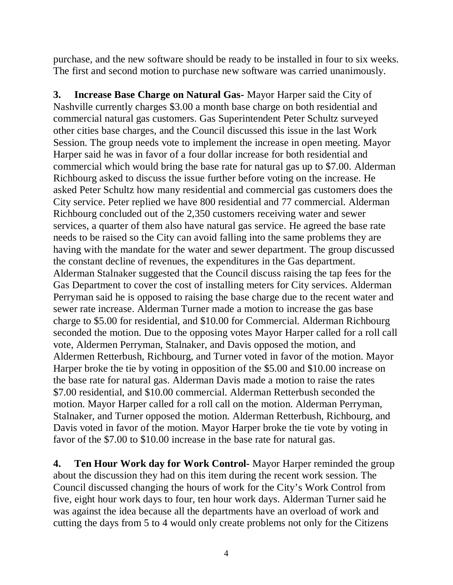purchase, and the new software should be ready to be installed in four to six weeks. The first and second motion to purchase new software was carried unanimously.

**3. Increase Base Charge on Natural Gas-** Mayor Harper said the City of Nashville currently charges \$3.00 a month base charge on both residential and commercial natural gas customers. Gas Superintendent Peter Schultz surveyed other cities base charges, and the Council discussed this issue in the last Work Session. The group needs vote to implement the increase in open meeting. Mayor Harper said he was in favor of a four dollar increase for both residential and commercial which would bring the base rate for natural gas up to \$7.00. Alderman Richbourg asked to discuss the issue further before voting on the increase. He asked Peter Schultz how many residential and commercial gas customers does the City service. Peter replied we have 800 residential and 77 commercial. Alderman Richbourg concluded out of the 2,350 customers receiving water and sewer services, a quarter of them also have natural gas service. He agreed the base rate needs to be raised so the City can avoid falling into the same problems they are having with the mandate for the water and sewer department. The group discussed the constant decline of revenues, the expenditures in the Gas department. Alderman Stalnaker suggested that the Council discuss raising the tap fees for the Gas Department to cover the cost of installing meters for City services. Alderman Perryman said he is opposed to raising the base charge due to the recent water and sewer rate increase. Alderman Turner made a motion to increase the gas base charge to \$5.00 for residential, and \$10.00 for Commercial. Alderman Richbourg seconded the motion. Due to the opposing votes Mayor Harper called for a roll call vote, Aldermen Perryman, Stalnaker, and Davis opposed the motion, and Aldermen Retterbush, Richbourg, and Turner voted in favor of the motion. Mayor Harper broke the tie by voting in opposition of the \$5.00 and \$10.00 increase on the base rate for natural gas. Alderman Davis made a motion to raise the rates \$7.00 residential, and \$10.00 commercial. Alderman Retterbush seconded the motion. Mayor Harper called for a roll call on the motion. Alderman Perryman, Stalnaker, and Turner opposed the motion. Alderman Retterbush, Richbourg, and Davis voted in favor of the motion. Mayor Harper broke the tie vote by voting in favor of the \$7.00 to \$10.00 increase in the base rate for natural gas.

**4. Ten Hour Work day for Work Control-** Mayor Harper reminded the group about the discussion they had on this item during the recent work session. The Council discussed changing the hours of work for the City's Work Control from five, eight hour work days to four, ten hour work days. Alderman Turner said he was against the idea because all the departments have an overload of work and cutting the days from 5 to 4 would only create problems not only for the Citizens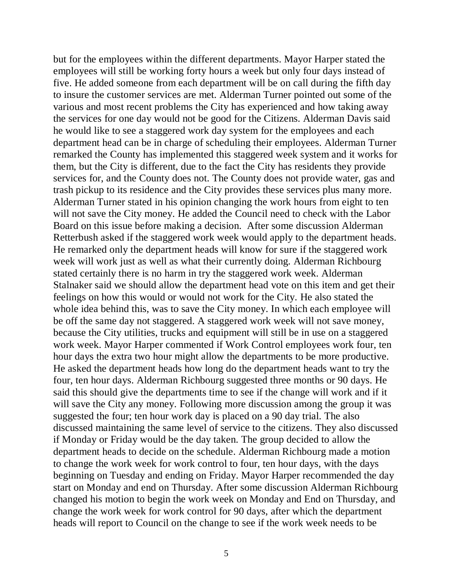but for the employees within the different departments. Mayor Harper stated the employees will still be working forty hours a week but only four days instead of five. He added someone from each department will be on call during the fifth day to insure the customer services are met. Alderman Turner pointed out some of the various and most recent problems the City has experienced and how taking away the services for one day would not be good for the Citizens. Alderman Davis said he would like to see a staggered work day system for the employees and each department head can be in charge of scheduling their employees. Alderman Turner remarked the County has implemented this staggered week system and it works for them, but the City is different, due to the fact the City has residents they provide services for, and the County does not. The County does not provide water, gas and trash pickup to its residence and the City provides these services plus many more. Alderman Turner stated in his opinion changing the work hours from eight to ten will not save the City money. He added the Council need to check with the Labor Board on this issue before making a decision. After some discussion Alderman Retterbush asked if the staggered work week would apply to the department heads. He remarked only the department heads will know for sure if the staggered work week will work just as well as what their currently doing. Alderman Richbourg stated certainly there is no harm in try the staggered work week. Alderman Stalnaker said we should allow the department head vote on this item and get their feelings on how this would or would not work for the City. He also stated the whole idea behind this, was to save the City money. In which each employee will be off the same day not staggered. A staggered work week will not save money, because the City utilities, trucks and equipment will still be in use on a staggered work week. Mayor Harper commented if Work Control employees work four, ten hour days the extra two hour might allow the departments to be more productive. He asked the department heads how long do the department heads want to try the four, ten hour days. Alderman Richbourg suggested three months or 90 days. He said this should give the departments time to see if the change will work and if it will save the City any money. Following more discussion among the group it was suggested the four; ten hour work day is placed on a 90 day trial. The also discussed maintaining the same level of service to the citizens. They also discussed if Monday or Friday would be the day taken. The group decided to allow the department heads to decide on the schedule. Alderman Richbourg made a motion to change the work week for work control to four, ten hour days, with the days beginning on Tuesday and ending on Friday. Mayor Harper recommended the day start on Monday and end on Thursday. After some discussion Alderman Richbourg changed his motion to begin the work week on Monday and End on Thursday, and change the work week for work control for 90 days, after which the department heads will report to Council on the change to see if the work week needs to be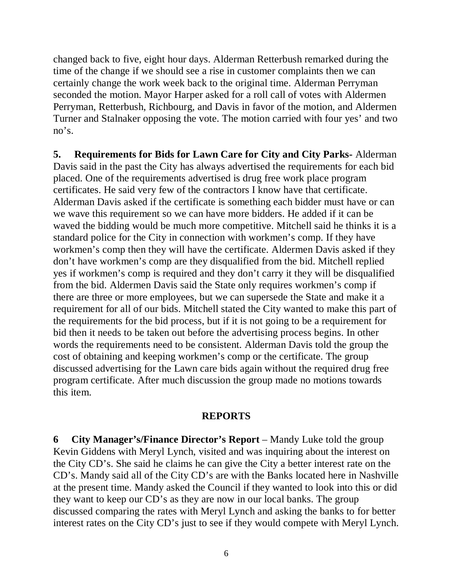changed back to five, eight hour days. Alderman Retterbush remarked during the time of the change if we should see a rise in customer complaints then we can certainly change the work week back to the original time. Alderman Perryman seconded the motion. Mayor Harper asked for a roll call of votes with Aldermen Perryman, Retterbush, Richbourg, and Davis in favor of the motion, and Aldermen Turner and Stalnaker opposing the vote. The motion carried with four yes' and two no's.

**5. Requirements for Bids for Lawn Care for City and City Parks-** Alderman Davis said in the past the City has always advertised the requirements for each bid placed. One of the requirements advertised is drug free work place program certificates. He said very few of the contractors I know have that certificate. Alderman Davis asked if the certificate is something each bidder must have or can we wave this requirement so we can have more bidders. He added if it can be waved the bidding would be much more competitive. Mitchell said he thinks it is a standard police for the City in connection with workmen's comp. If they have workmen's comp then they will have the certificate. Aldermen Davis asked if they don't have workmen's comp are they disqualified from the bid. Mitchell replied yes if workmen's comp is required and they don't carry it they will be disqualified from the bid. Aldermen Davis said the State only requires workmen's comp if there are three or more employees, but we can supersede the State and make it a requirement for all of our bids. Mitchell stated the City wanted to make this part of the requirements for the bid process, but if it is not going to be a requirement for bid then it needs to be taken out before the advertising process begins. In other words the requirements need to be consistent. Alderman Davis told the group the cost of obtaining and keeping workmen's comp or the certificate. The group discussed advertising for the Lawn care bids again without the required drug free program certificate. After much discussion the group made no motions towards this item.

#### **REPORTS**

**6 City Manager's/Finance Director's Report** – Mandy Luke told the group Kevin Giddens with Meryl Lynch, visited and was inquiring about the interest on the City CD's. She said he claims he can give the City a better interest rate on the CD's. Mandy said all of the City CD's are with the Banks located here in Nashville at the present time. Mandy asked the Council if they wanted to look into this or did they want to keep our CD's as they are now in our local banks. The group discussed comparing the rates with Meryl Lynch and asking the banks to for better interest rates on the City CD's just to see if they would compete with Meryl Lynch.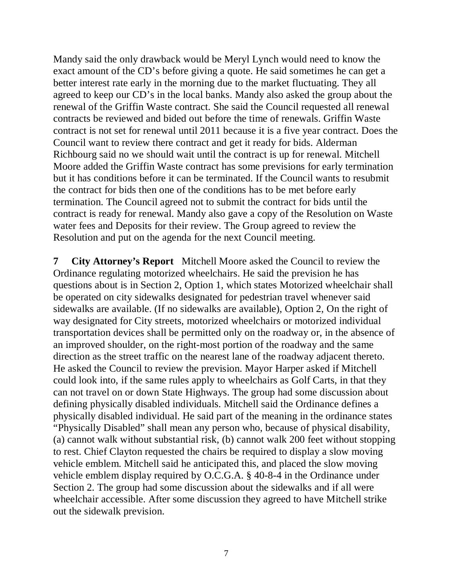Mandy said the only drawback would be Meryl Lynch would need to know the exact amount of the CD's before giving a quote. He said sometimes he can get a better interest rate early in the morning due to the market fluctuating. They all agreed to keep our CD's in the local banks. Mandy also asked the group about the renewal of the Griffin Waste contract. She said the Council requested all renewal contracts be reviewed and bided out before the time of renewals. Griffin Waste contract is not set for renewal until 2011 because it is a five year contract. Does the Council want to review there contract and get it ready for bids. Alderman Richbourg said no we should wait until the contract is up for renewal. Mitchell Moore added the Griffin Waste contract has some previsions for early termination but it has conditions before it can be terminated. If the Council wants to resubmit the contract for bids then one of the conditions has to be met before early termination. The Council agreed not to submit the contract for bids until the contract is ready for renewal. Mandy also gave a copy of the Resolution on Waste water fees and Deposits for their review. The Group agreed to review the Resolution and put on the agenda for the next Council meeting.

**7 City Attorney's Report** Mitchell Moore asked the Council to review the Ordinance regulating motorized wheelchairs. He said the prevision he has questions about is in Section 2, Option 1, which states Motorized wheelchair shall be operated on city sidewalks designated for pedestrian travel whenever said sidewalks are available. (If no sidewalks are available), Option 2, On the right of way designated for City streets, motorized wheelchairs or motorized individual transportation devices shall be permitted only on the roadway or, in the absence of an improved shoulder, on the right-most portion of the roadway and the same direction as the street traffic on the nearest lane of the roadway adjacent thereto. He asked the Council to review the prevision. Mayor Harper asked if Mitchell could look into, if the same rules apply to wheelchairs as Golf Carts, in that they can not travel on or down State Highways. The group had some discussion about defining physically disabled individuals. Mitchell said the Ordinance defines a physically disabled individual. He said part of the meaning in the ordinance states "Physically Disabled" shall mean any person who, because of physical disability, (a) cannot walk without substantial risk, (b) cannot walk 200 feet without stopping to rest. Chief Clayton requested the chairs be required to display a slow moving vehicle emblem. Mitchell said he anticipated this, and placed the slow moving vehicle emblem display required by O.C.G.A. § 40-8-4 in the Ordinance under Section 2. The group had some discussion about the sidewalks and if all were wheelchair accessible. After some discussion they agreed to have Mitchell strike out the sidewalk prevision.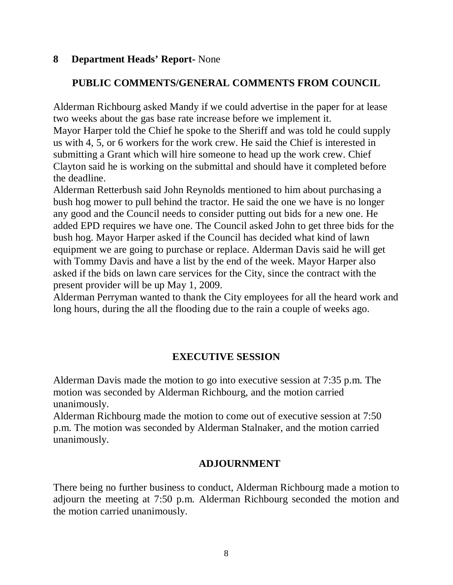### **8 Department Heads' Report-** None

## **PUBLIC COMMENTS/GENERAL COMMENTS FROM COUNCIL**

Alderman Richbourg asked Mandy if we could advertise in the paper for at lease two weeks about the gas base rate increase before we implement it. Mayor Harper told the Chief he spoke to the Sheriff and was told he could supply us with 4, 5, or 6 workers for the work crew. He said the Chief is interested in submitting a Grant which will hire someone to head up the work crew. Chief Clayton said he is working on the submittal and should have it completed before the deadline.

Alderman Retterbush said John Reynolds mentioned to him about purchasing a bush hog mower to pull behind the tractor. He said the one we have is no longer any good and the Council needs to consider putting out bids for a new one. He added EPD requires we have one. The Council asked John to get three bids for the bush hog. Mayor Harper asked if the Council has decided what kind of lawn equipment we are going to purchase or replace. Alderman Davis said he will get with Tommy Davis and have a list by the end of the week. Mayor Harper also asked if the bids on lawn care services for the City, since the contract with the present provider will be up May 1, 2009.

Alderman Perryman wanted to thank the City employees for all the heard work and long hours, during the all the flooding due to the rain a couple of weeks ago.

# **EXECUTIVE SESSION**

Alderman Davis made the motion to go into executive session at 7:35 p.m. The motion was seconded by Alderman Richbourg, and the motion carried unanimously.

Alderman Richbourg made the motion to come out of executive session at 7:50 p.m. The motion was seconded by Alderman Stalnaker, and the motion carried unanimously.

### **ADJOURNMENT**

There being no further business to conduct, Alderman Richbourg made a motion to adjourn the meeting at 7:50 p.m. Alderman Richbourg seconded the motion and the motion carried unanimously.